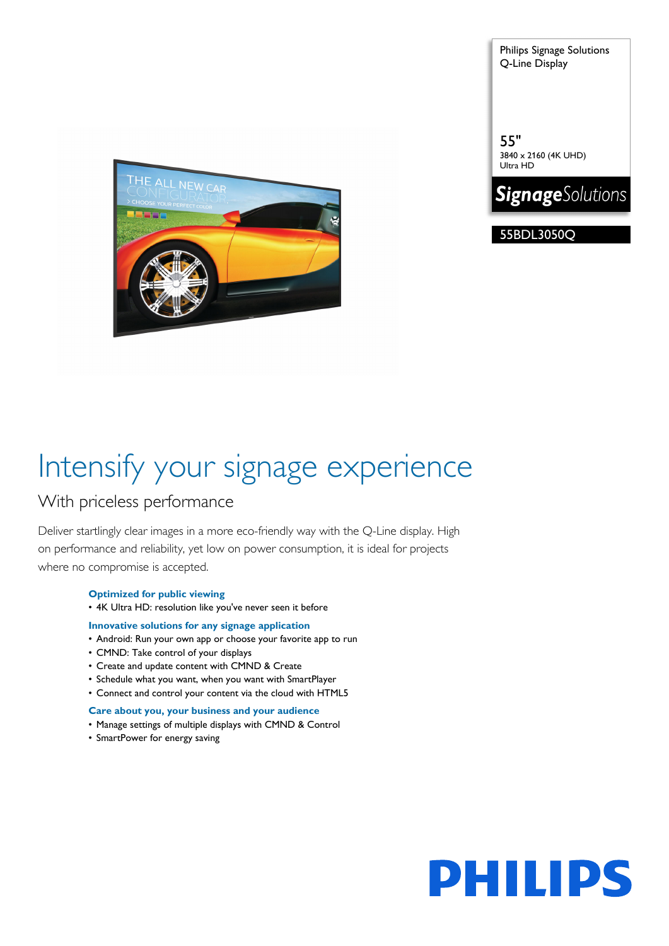THE ALL NEW CAR

Philips Signage Solutions Q-Line Display

55" 3840 x 2160 (4K UHD) Ultra HD



55BDL3050Q

# Intensify your signage experience

### With priceless performance

Deliver startlingly clear images in a more eco-friendly way with the Q-Line display. High on performance and reliability, yet low on power consumption, it is ideal for projects where no compromise is accepted.

### **Optimized for public viewing**

• 4K Ultra HD: resolution like you've never seen it before

### **Innovative solutions for any signage application**

- Android: Run your own app or choose your favorite app to run
- CMND: Take control of your displays
- Create and update content with CMND & Create
- Schedule what you want, when you want with SmartPlayer
- Connect and control your content via the cloud with HTML5

### **Care about you, your business and your audience**

- Manage settings of multiple displays with CMND & Control
- SmartPower for energy saving

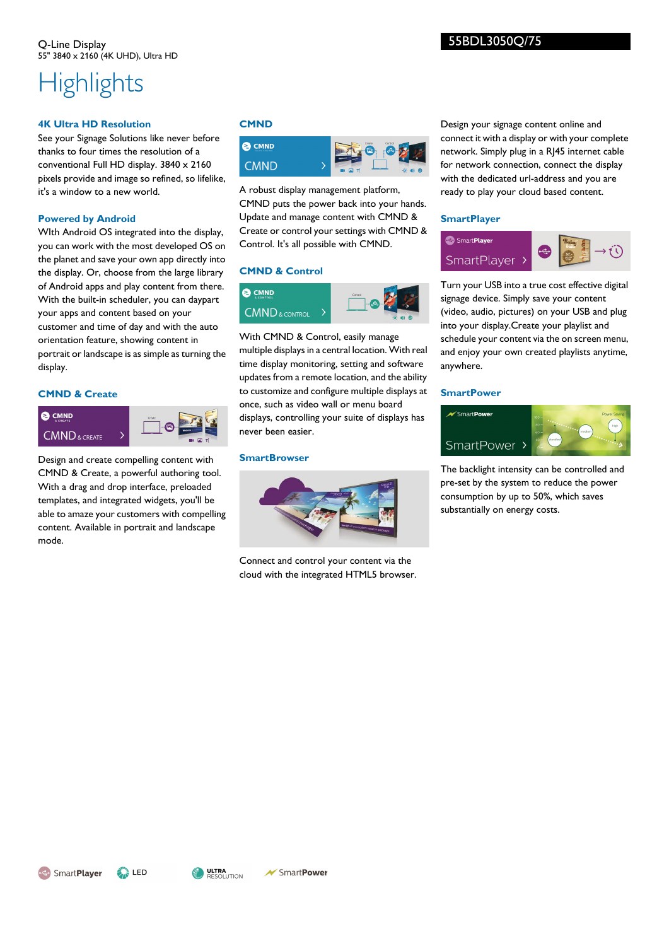## **Highlights**

### **4K Ultra HD Resolution**

See your Signage Solutions like never before thanks to four times the resolution of a conventional Full HD display. 3840 x 2160 pixels provide and image so refined, so lifelike, it's a window to a new world.

### **Powered by Android**

WIth Android OS integrated into the display, you can work with the most developed OS on the planet and save your own app directly into the display. Or, choose from the large library of Android apps and play content from there. With the built-in scheduler, you can daypart your apps and content based on your customer and time of day and with the auto orientation feature, showing content in portrait or landscape is as simple as turning the display.

### **CMND & Create**



Design and create compelling content with CMND & Create, a powerful authoring tool. With a drag and drop interface, preloaded templates, and integrated widgets, you'll be able to amaze your customers with compelling content. Available in portrait and landscape mode.

### **CMND**



A robust display management platform, CMND puts the power back into your hands. Update and manage content with CMND & Create or control your settings with CMND & Control. It's all possible with CMND.

### **CMND & Control**



With CMND & Control, easily manage multiple displays in a central location. With real time display monitoring, setting and software updates from a remote location, and the ability to customize and configure multiple displays at once, such as video wall or menu board displays, controlling your suite of displays has never been easier.

### **SmartBrowser**



Connect and control your content via the cloud with the integrated HTML5 browser. Design your signage content online and connect it with a display or with your complete network. Simply plug in a RJ45 internet cable for network connection, connect the display with the dedicated url-address and you are ready to play your cloud based content.

### **SmartPlayer**



Turn your USB into a true cost effective digital signage device. Simply save your content (video, audio, pictures) on your USB and plug into your display.Create your playlist and schedule your content via the on screen menu, and enjoy your own created playlists anytime, anywhere.

### **SmartPower**



The backlight intensity can be controlled and pre-set by the system to reduce the power consumption by up to 50%, which saves substantially on energy costs.

SmartPlayer



SmartPower